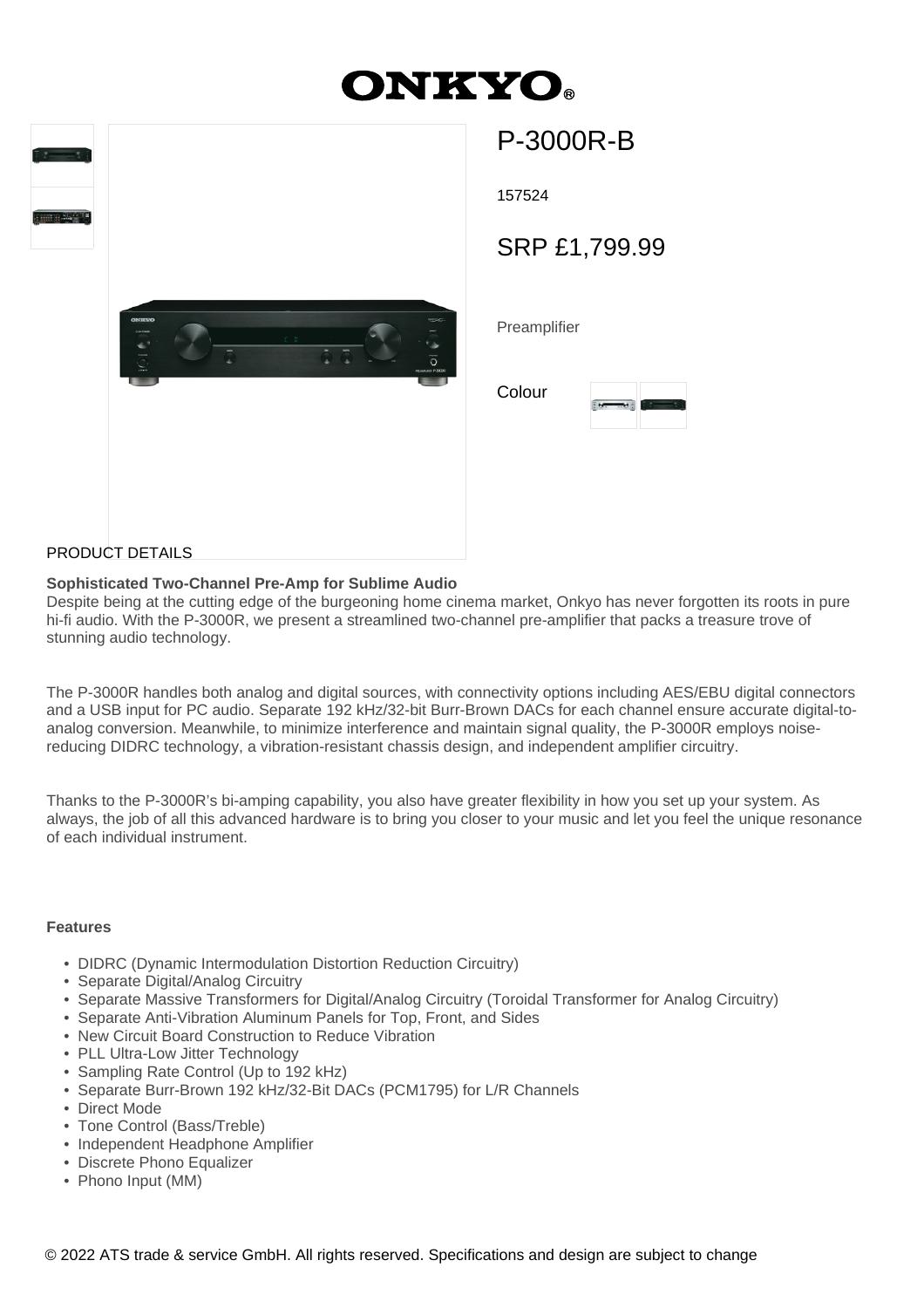# **DNKYO**



# P-3000R-B

157524

SRP £1,799.99

**Preamplifier** 

| Colour |  |  |
|--------|--|--|
|        |  |  |

## PRODUCT DETAILS

#### **Sophisticated Two-Channel Pre-Amp for Sublime Audio**

Despite being at the cutting edge of the burgeoning home cinema market, Onkyo has never forgotten its roots in pure hi-fi audio. With the P-3000R, we present a streamlined two-channel pre-amplifier that packs a treasure trove of stunning audio technology.

The P-3000R handles both analog and digital sources, with connectivity options including AES/EBU digital connectors and a USB input for PC audio. Separate 192 kHz/32-bit Burr-Brown DACs for each channel ensure accurate digital-toanalog conversion. Meanwhile, to minimize interference and maintain signal quality, the P-3000R employs noisereducing DIDRC technology, a vibration-resistant chassis design, and independent amplifier circuitry.

Thanks to the P-3000R's bi-amping capability, you also have greater flexibility in how you set up your system. As always, the job of all this advanced hardware is to bring you closer to your music and let you feel the unique resonance of each individual instrument.

## **Features**

- DIDRC (Dynamic Intermodulation Distortion Reduction Circuitry)
- Separate Digital/Analog Circuitry
- Separate Massive Transformers for Digital/Analog Circuitry (Toroidal Transformer for Analog Circuitry)
- Separate Anti-Vibration Aluminum Panels for Top, Front, and Sides
- New Circuit Board Construction to Reduce Vibration
- PLL Ultra-Low Jitter Technology
- Sampling Rate Control (Up to 192 kHz)
- Separate Burr-Brown 192 kHz/32-Bit DACs (PCM1795) for L/R Channels
- Direct Mode
- Tone Control (Bass/Treble)
- Independent Headphone Amplifier
- Discrete Phono Equalizer
- Phono Input (MM)